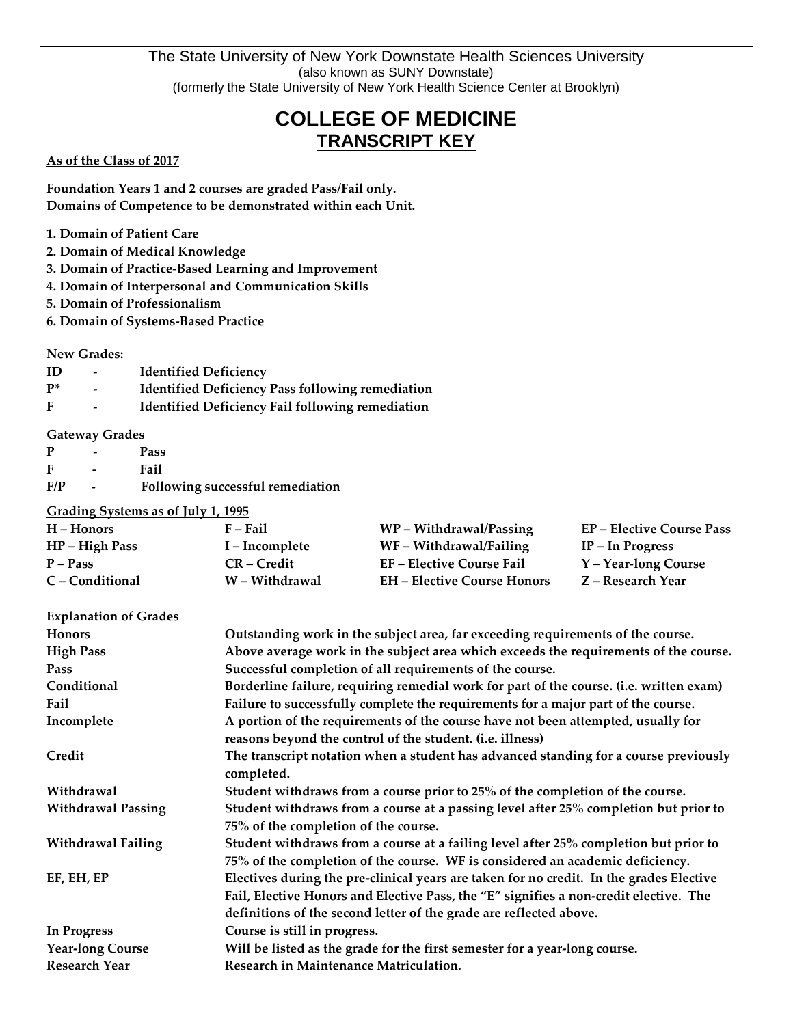|                                                                                     |                                                                                         |                                                                                                                                                                              | The State University of New York Downstate Health Sciences University<br>(also known as SUNY Downstate) |                                  |  |  |
|-------------------------------------------------------------------------------------|-----------------------------------------------------------------------------------------|------------------------------------------------------------------------------------------------------------------------------------------------------------------------------|---------------------------------------------------------------------------------------------------------|----------------------------------|--|--|
|                                                                                     |                                                                                         |                                                                                                                                                                              | (formerly the State University of New York Health Science Center at Brooklyn)                           |                                  |  |  |
| <b>COLLEGE OF MEDICINE</b><br><b>TRANSCRIPT KEY</b>                                 |                                                                                         |                                                                                                                                                                              |                                                                                                         |                                  |  |  |
| As of the Class of 2017                                                             |                                                                                         |                                                                                                                                                                              |                                                                                                         |                                  |  |  |
|                                                                                     |                                                                                         | Foundation Years 1 and 2 courses are graded Pass/Fail only.                                                                                                                  |                                                                                                         |                                  |  |  |
|                                                                                     |                                                                                         | Domains of Competence to be demonstrated within each Unit.                                                                                                                   |                                                                                                         |                                  |  |  |
| 1. Domain of Patient Care                                                           |                                                                                         |                                                                                                                                                                              |                                                                                                         |                                  |  |  |
| 2. Domain of Medical Knowledge                                                      |                                                                                         |                                                                                                                                                                              |                                                                                                         |                                  |  |  |
| 3. Domain of Practice-Based Learning and Improvement                                |                                                                                         |                                                                                                                                                                              |                                                                                                         |                                  |  |  |
| 4. Domain of Interpersonal and Communication Skills<br>5. Domain of Professionalism |                                                                                         |                                                                                                                                                                              |                                                                                                         |                                  |  |  |
| 6. Domain of Systems-Based Practice                                                 |                                                                                         |                                                                                                                                                                              |                                                                                                         |                                  |  |  |
|                                                                                     |                                                                                         |                                                                                                                                                                              |                                                                                                         |                                  |  |  |
| New Grades:                                                                         |                                                                                         |                                                                                                                                                                              |                                                                                                         |                                  |  |  |
| ID<br>$P^*$                                                                         | <b>Identified Deficiency</b><br><b>Identified Deficiency Pass following remediation</b> |                                                                                                                                                                              |                                                                                                         |                                  |  |  |
| F                                                                                   |                                                                                         | <b>Identified Deficiency Fail following remediation</b>                                                                                                                      |                                                                                                         |                                  |  |  |
|                                                                                     |                                                                                         |                                                                                                                                                                              |                                                                                                         |                                  |  |  |
| <b>Gateway Grades</b><br>P                                                          | Pass                                                                                    |                                                                                                                                                                              |                                                                                                         |                                  |  |  |
| F                                                                                   | Fail                                                                                    |                                                                                                                                                                              |                                                                                                         |                                  |  |  |
| F/P                                                                                 |                                                                                         | Following successful remediation                                                                                                                                             |                                                                                                         |                                  |  |  |
| Grading Systems as of July 1, 1995                                                  |                                                                                         |                                                                                                                                                                              |                                                                                                         |                                  |  |  |
| $H -$ Honors                                                                        |                                                                                         | $F$ – Fail                                                                                                                                                                   | WP - Withdrawal/Passing                                                                                 | <b>EP</b> – Elective Course Pass |  |  |
| HP - High Pass                                                                      |                                                                                         | I – Incomplete                                                                                                                                                               | WF - Withdrawal/Failing                                                                                 | IP - In Progress                 |  |  |
| $P - Pass$                                                                          |                                                                                         | CR-Credit                                                                                                                                                                    | <b>EF-Elective Course Fail</b>                                                                          | Y - Year-long Course             |  |  |
| C - Conditional                                                                     |                                                                                         | W - Withdrawal                                                                                                                                                               | <b>EH</b> - Elective Course Honors                                                                      | Z - Research Year                |  |  |
| <b>Explanation of Grades</b>                                                        |                                                                                         |                                                                                                                                                                              |                                                                                                         |                                  |  |  |
| <b>Honors</b>                                                                       |                                                                                         | Outstanding work in the subject area, far exceeding requirements of the course.                                                                                              |                                                                                                         |                                  |  |  |
| <b>High Pass</b>                                                                    |                                                                                         | Above average work in the subject area which exceeds the requirements of the course.                                                                                         |                                                                                                         |                                  |  |  |
| Pass                                                                                |                                                                                         | Successful completion of all requirements of the course.                                                                                                                     |                                                                                                         |                                  |  |  |
| Conditional<br>Fail                                                                 |                                                                                         | Borderline failure, requiring remedial work for part of the course. (i.e. written exam)<br>Failure to successfully complete the requirements for a major part of the course. |                                                                                                         |                                  |  |  |
| Incomplete                                                                          |                                                                                         | A portion of the requirements of the course have not been attempted, usually for                                                                                             |                                                                                                         |                                  |  |  |
|                                                                                     |                                                                                         |                                                                                                                                                                              | reasons beyond the control of the student. (i.e. illness)                                               |                                  |  |  |
| Credit                                                                              |                                                                                         | The transcript notation when a student has advanced standing for a course previously<br>completed.                                                                           |                                                                                                         |                                  |  |  |
| Withdrawal                                                                          |                                                                                         | Student withdraws from a course prior to 25% of the completion of the course.                                                                                                |                                                                                                         |                                  |  |  |
| <b>Withdrawal Passing</b>                                                           |                                                                                         | Student withdraws from a course at a passing level after 25% completion but prior to                                                                                         |                                                                                                         |                                  |  |  |
|                                                                                     |                                                                                         | 75% of the completion of the course.                                                                                                                                         |                                                                                                         |                                  |  |  |
| <b>Withdrawal Failing</b>                                                           |                                                                                         | Student withdraws from a course at a failing level after 25% completion but prior to<br>75% of the completion of the course. WF is considered an academic deficiency.        |                                                                                                         |                                  |  |  |
| EF, EH, EP                                                                          |                                                                                         | Electives during the pre-clinical years are taken for no credit. In the grades Elective                                                                                      |                                                                                                         |                                  |  |  |
|                                                                                     |                                                                                         |                                                                                                                                                                              | Fail, Elective Honors and Elective Pass, the "E" signifies a non-credit elective. The                   |                                  |  |  |
|                                                                                     |                                                                                         |                                                                                                                                                                              | definitions of the second letter of the grade are reflected above.                                      |                                  |  |  |
| <b>In Progress</b>                                                                  |                                                                                         | Course is still in progress.                                                                                                                                                 |                                                                                                         |                                  |  |  |
| <b>Year-long Course</b>                                                             |                                                                                         |                                                                                                                                                                              | Will be listed as the grade for the first semester for a year-long course.                              |                                  |  |  |
| Research Year                                                                       |                                                                                         | Research in Maintenance Matriculation.                                                                                                                                       |                                                                                                         |                                  |  |  |